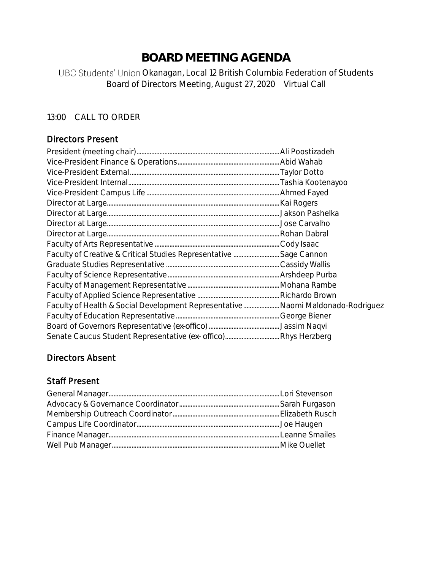# **BOARD MEETING AGENDA**

## UBC Students' Union Okanagan, Local 12 British Columbia Federation of Students Board of Directors Meeting, August 27, 2020 - Virtual Call

### 13:00 - CALL TO ORDER

## Directors Present

| Faculty of Health & Social Development Representative Naomi Maldonado-Rodriguez |  |
|---------------------------------------------------------------------------------|--|
|                                                                                 |  |
|                                                                                 |  |
|                                                                                 |  |

## Directors Absent

## Staff Present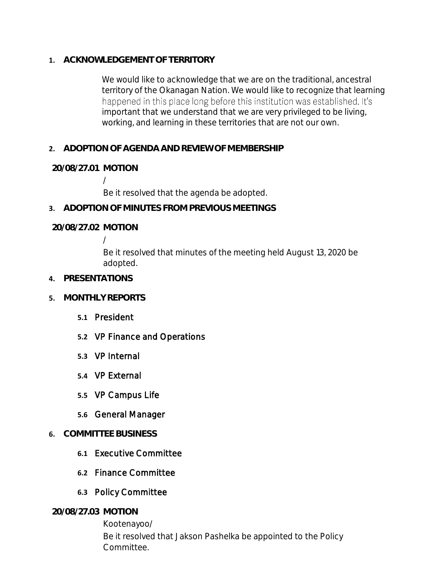**1. ACKNOWLEDGEMENT OF TERRITORY**

We would like to acknowledge that we are on the traditional, ancestral territory of the Okanagan Nation. We would like to recognize that learning happened in this place long before this institution was established. It's important that we understand that we are very privileged to be living, working, and learning in these territories that are not our own.

**2. ADOPTION OF AGENDA AND REVIEW OF MEMBERSHIP**

**20/08/27.01 MOTION**

/ Be it resolved that the agenda be adopted.

**3. ADOPTION OF MINUTES FROM PREVIOUS MEETINGS**

**20/08/27.02 MOTION**

/

Be it resolved that minutes of the meeting held August 13, 2020 be adopted.

- **4. PRESENTATIONS**
- **5. MONTHLY REPORTS**
	- **5.1** President
	- **5.2** VP Finance and Operations
	- **5.3** VP Internal
	- **5.4** VP External
	- **5.5** VP Campus Life
	- **5.6** General Manager
- **6. COMMITTEE BUSINESS**
	- **6.1** Executive Committee
	- **6.2** Finance Committee
	- **6.3** Policy Committee

**20/08/27.03 MOTION**

Kootenayoo/ Be it resolved that Jakson Pashelka be appointed to the Policy Committee.